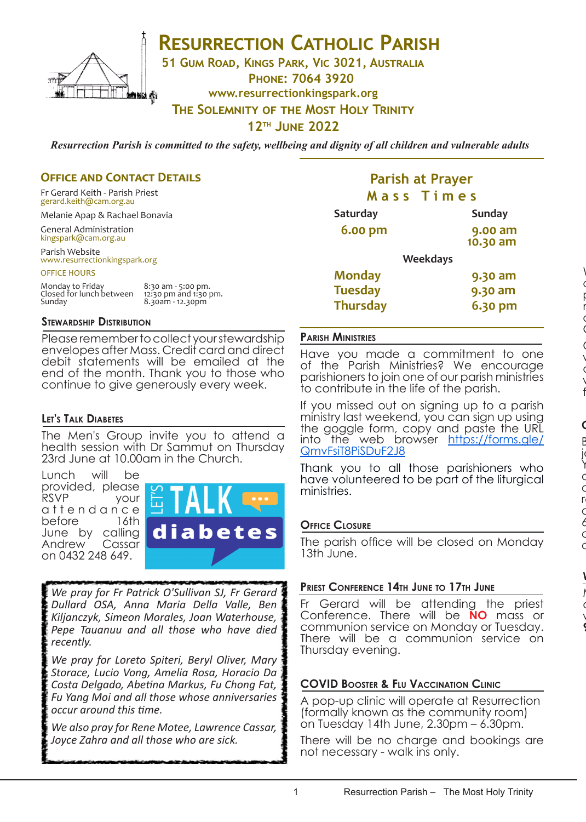

## **RESURRECTION CATHOLIC PARISH**

**51 Gum Road, Kings Park, Vic 3021, Australia**

**Phone: 7064 3920**

**www.resurrectionkingspark.org**

**The Solemnity of the Most Holy Trinity**

**12th June 2022**

*Resurrection Parish is committed to the safety, wellbeing and dignity of all children and vulnerable adults*

## **OFFICE AND CONTACT DETAILS**

Fr Gerard Keith - Parish Priest gerard.keith@cam.org.au

Melanie Apap & Rachael Bonavia

General Administration kingspark@cam.org.au

Parish Website www.resurrectionkingspark.org

OFFICE HOURS

| Monday to Friday         | 8:30 am - 5:00 pm.    |
|--------------------------|-----------------------|
| Closed for lunch between | 12:30 pm and 1:30 pm. |
| Sunday                   | 8.30am - 12.30pm      |

### **Stewardship Distribution**

Please remember to collect your stewardship envelopes after Mass. Credit card and direct debit statements will be emailed at the end of the month. Thank you to those who continue to give generously every week.

## **Let's Talk Diabetes**

The Men's Group invite you to attend a health session with Dr Sammut on Thursday 23rd June at 10.00am in the Church.

Lunch will be provided, please<br>RSVP vour your attendance<br>before 16th before June by calling Andrew Cassar on 0432 248 649.



*We pray for Fr Patrick O'Sullivan SJ, Fr Gerard Dullard OSA, Anna Maria Della Valle, Ben Kiljanczyk, Simeon Morales, Joan Waterhouse, Pepe Tauanuu and all those who have died recently.* 

*We pray for Loreto Spiteri, Beryl Oliver, Mary Storace, Lucio Vong, Amelia Rosa, Horacio Da Costa Delgado, Abetina Markus, Fu Chong Fat, Fu Yang Moi and all those whose anniversaries occur around this time.* 

*We also pray for Rene Motee, Lawrence Cassar, Joyce Zahra and all those who are sick.* 

## **Parish at Prayer M a s s T i m e s**

| <b>Saturday</b> | <b>Sunday</b>       |
|-----------------|---------------------|
| 6.00 pm         | 9.00 am<br>10.30 am |
|                 | <b>Weekdays</b>     |
| <b>Monday</b>   | 9.30 am             |
| <b>Tuesday</b>  | 9.30 am             |
| <b>Thursday</b> | 6.30 pm             |

## **Parish Ministries**

Have you made a commitment to one of the Parish Ministries? We encourage parishioners to join one of our parish ministries to contribute in the life of the parish.

If you missed out on signing up to a parish ministry last weekend, you can sign up using the goggle form, copy and paste the URL into the web browser https://forms.gle/ QmvFsiT8PiSDuF2J8

Thank you to all those parishioners who have volunteered to be part of the liturgical ministries.

## **Office Closure**

The parish office will be closed on Monday 13th June.

## **Priest Conference 14th June to 17th June**

Fr Gerard will be attending the priest Conference. There will be **NO** mass or communion service on Monday or Tuesday. There will be a communion service on Thursday evening.

## **COVID Booster & Flu Vaccination Clinic**

A pop-up clinic will operate at Resurrection (formally known as the community room) on Tuesday 14th June, 2.30pm – 6.30pm.

There will be no charge and bookings are not necessary - walk ins only.

**9th July 2022.**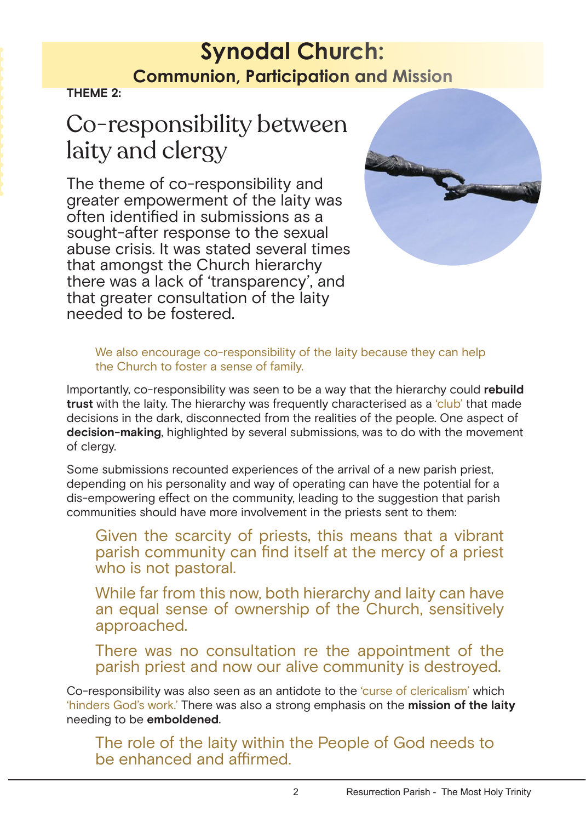## **Synodal Church: Communion, Participation and Mission**

**THEME 2:**

# Co-responsibility between laity and clergy

The theme of co-responsibility and greater empowerment of the laity was often identified in submissions as a sought-after response to the sexual abuse crisis. It was stated several times that amongst the Church hierarchy there was a lack of 'transparency', and that greater consultation of the laity needed to be fostered.



We also encourage co-responsibility of the laity because they can help the Church to foster a sense of family.

Importantly, co-responsibility was seen to be a way that the hierarchy could **rebuild trust** with the laity. The hierarchy was frequently characterised as a 'club' that made decisions in the dark, disconnected from the realities of the people. One aspect of **decision-making**, highlighted by several submissions, was to do with the movement of clergy.

Some submissions recounted experiences of the arrival of a new parish priest, depending on his personality and way of operating can have the potential for a dis-empowering effect on the community, leading to the suggestion that parish communities should have more involvement in the priests sent to them:

Given the scarcity of priests, this means that a vibrant parish community can find itself at the mercy of a priest who is not pastoral.

While far from this now, both hierarchy and laity can have an equal sense of ownership of the Church, sensitively approached.

There was no consultation re the appointment of the parish priest and now our alive community is destroyed.

Co-responsibility was also seen as an antidote to the 'curse of clericalism' which 'hinders God's work.' There was also a strong emphasis on the **mission of the laity** needing to be **emboldened**.

The role of the laity within the People of God needs to be enhanced and affirmed.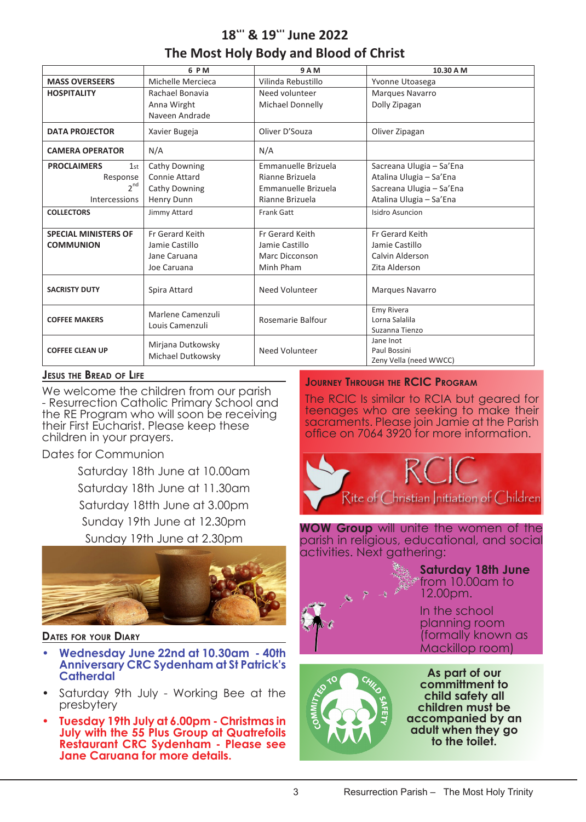## **18th & 19th June 2022 The Most Holy Body and Blood of Christ**

|                              | 6 P M                | 9 A M               | 10.30 A M                |
|------------------------------|----------------------|---------------------|--------------------------|
| <b>MASS OVERSEERS</b>        | Michelle Mercieca    | Vilinda Rebustillo  | Yvonne Utoasega          |
| <b>HOSPITALITY</b>           | Rachael Bonavia      | Need volunteer      | Marques Navarro          |
|                              | Anna Wirght          | Michael Donnelly    | Dolly Zipagan            |
|                              | Naveen Andrade       |                     |                          |
| <b>DATA PROJECTOR</b>        | Xavier Bugeja        | Oliver D'Souza      | Oliver Zipagan           |
| <b>CAMERA OPERATOR</b>       | N/A                  | N/A                 |                          |
| <b>PROCLAIMERS</b><br>$1$ st | Cathy Downing        | Emmanuelle Brizuela | Sacreana Ulugia - Sa'Ena |
| Response                     | Connie Attard        | Rianne Brizuela     | Atalina Ulugia - Sa'Ena  |
| $2^{nd}$                     | <b>Cathy Downing</b> | Emmanuelle Brizuela | Sacreana Ulugia - Sa'Ena |
| <b>Intercessions</b>         | <b>Henry Dunn</b>    | Rianne Brizuela     | Atalina Ulugia - Sa'Ena  |
| <b>COLLECTORS</b>            | Jimmy Attard         | <b>Frank Gatt</b>   | Isidro Asuncion          |
|                              |                      |                     |                          |
| <b>SPECIAL MINISTERS OF</b>  | Fr Gerard Keith      | Fr Gerard Keith     | Fr Gerard Keith          |
| <b>COMMUNION</b>             | Jamie Castillo       | Jamie Castillo      | Jamie Castillo           |
|                              | Jane Caruana         | Marc Dicconson      | Calvin Alderson          |
|                              | Joe Caruana          | Minh Pham           | Zita Alderson            |
| <b>SACRISTY DUTY</b>         | Spira Attard         | Need Volunteer      | <b>Marques Navarro</b>   |
|                              | Marlene Camenzuli    |                     | <b>Emy Rivera</b>        |
| <b>COFFEE MAKERS</b>         | Louis Camenzuli      | Rosemarie Balfour   | Lorna Salalila           |
|                              |                      |                     | Suzanna Tienzo           |
|                              | Mirjana Dutkowsky    |                     | Jane Inot                |
| <b>COFFEE CLEAN UP</b>       | Michael Dutkowsky    | Need Volunteer      | Paul Bossini             |
|                              |                      |                     | Zeny Vella (need WWCC)   |

## **Jesus the Bread of Life**

We welcome the children from our parish **June 2023 13th** School and **inclusively** in School and the Superior School and in  $\frac{1}{2}$  in School and in School and in School and in School and in School and in School and in School and in School and in School and in School and children in your prayers. The same of the contract on 1064 3920 for the contract of the contract of the contract o - Resurrection Catholic Primary School and the RE Program who will soon be receiving their First Eucharist. Please keep these

#### **HOSPITALITY** Michelle Mercieca Dates for Communion

**DATA PROJECTOR INSTALLET IN A Jacob Republic Francisco Francisco Francisco Francisco Francisco Francisco Francisco Francisco Francisco Francisco Francisco Francisco Francisco Francisco Francisco Francisco Francisco Franci Caturday, 19th June at 3,00pm Nite of Christia PROCLAIMERS** 1 Saturday 18tth June at 3.00pm Response  $\overline{1}$  $\frac{1}{2}$ Sandra Galea Sunday 19th June at 12.30pm h lung c Sunday 19th June at 2.30pm Saturday 18th June at 10.00am



- **COFFEE MAKERS** No Coffee Need Volunteers Need Volunteer Wes Yuan **• Wednesday June 22nd at 10.30am 40th Catherdal Catherdal Catherdal Catherdal Cather Need Volunteers Need Volunteers Need Volunteers Need Volunteer Anniversary CRC Sydenham at St Patrick's**
- Saturday 9th July Working Bee at the presbytery
- **• Tuesday 19th July at 6.00pm Christmas in July with the 55 Plus Group at Quatrefoils Restaurant CRC Sydenham - Please see Jane Caruana for more details.**

### **Journey Through the RCIC Program**

**keep these building and a sucraments. Please join Jamie** The RCIC Is similar to RCIA but geared for teenages who are seeking to make their sacraments. Please join Jamie at the Parish office on 7064 3920 for more information.



**WOW Group** will unite the women of the Vilinda Rebustillo  $\overline{\phantom{a}}$ Jane Inot parish in religious, educational, and social activities. Next gathering:



 $\mathbb{F}_q$  from 10.00am to **Saturday 18th June**  12.00pm.

> In the school planning room (formally known as Mackillop room)



**As part of our committment to child safety all children must be accompanied by an adult when they go to the toilet.**